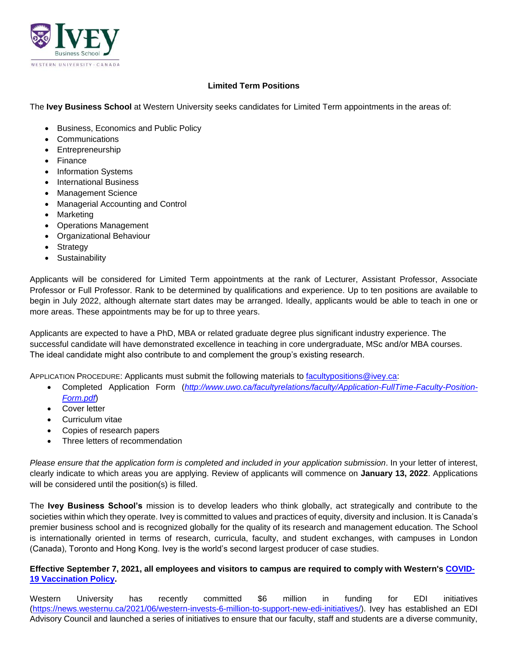

## **Limited Term Positions**

The **Ivey Business School** at Western University seeks candidates for Limited Term appointments in the areas of:

- Business, Economics and Public Policy
- Communications
- Entrepreneurship
- Finance
- Information Systems
- International Business
- Management Science
- Managerial Accounting and Control
- Marketing
- Operations Management
- Organizational Behaviour
- **Strategy**
- **Sustainability**

Applicants will be considered for Limited Term appointments at the rank of Lecturer, Assistant Professor, Associate Professor or Full Professor. Rank to be determined by qualifications and experience. Up to ten positions are available to begin in July 2022, although alternate start dates may be arranged. Ideally, applicants would be able to teach in one or more areas. These appointments may be for up to three years.

Applicants are expected to have a PhD, MBA or related graduate degree plus significant industry experience. The successful candidate will have demonstrated excellence in teaching in core undergraduate, MSc and/or MBA courses. The ideal candidate might also contribute to and complement the group's existing research.

APPLICATION PROCEDURE: Applicants must submit the following materials to [facultypositions@ivey.ca:](mailto:facultypositions@ivey.ca)

- Completed Application Form (*[http://www.uwo.ca/facultyrelations/faculty/Application-FullTime-Faculty-Position-](http://www.uwo.ca/facultyrelations/faculty/Application-FullTime-Faculty-Position-Form.pdf)[Form.pdf](http://www.uwo.ca/facultyrelations/faculty/Application-FullTime-Faculty-Position-Form.pdf)*)
- Cover letter
- Curriculum vitae
- Copies of research papers
- Three letters of recommendation

*Please ensure that the application form is completed and included in your application submission*. In your letter of interest, clearly indicate to which areas you are applying. Review of applicants will commence on **January 13, 2022**. Applications will be considered until the position(s) is filled.

The **Ivey Business School's** mission is to develop leaders who think globally, act strategically and contribute to the societies within which they operate. Ivey is committed to values and practices of equity, diversity and inclusion. It is Canada's premier business school and is recognized globally for the quality of its research and management education. The School is internationally oriented in terms of research, curricula, faculty, and student exchanges, with campuses in London (Canada), Toronto and Hong Kong. Ivey is the world's second largest producer of case studies.

## **Effective September 7, 2021, all employees and visitors to campus are required to comply with Western's [COVID-](https://www.uwo.ca/univsec/pdf/policies_procedures/section3/mapp311_covid19.pdf)[19 Vaccination Policy.](https://www.uwo.ca/univsec/pdf/policies_procedures/section3/mapp311_covid19.pdf)**

Western University has recently committed \$6 million in funding for EDI initiatives [\(https://news.westernu.ca/2021/06/western-invests-6-million-to-support-new-edi-initiatives/\)](https://news.westernu.ca/2021/06/western-invests-6-million-to-support-new-edi-initiatives/). Ivey has established an EDI Advisory Council and launched a series of initiatives to ensure that our faculty, staff and students are a diverse community,